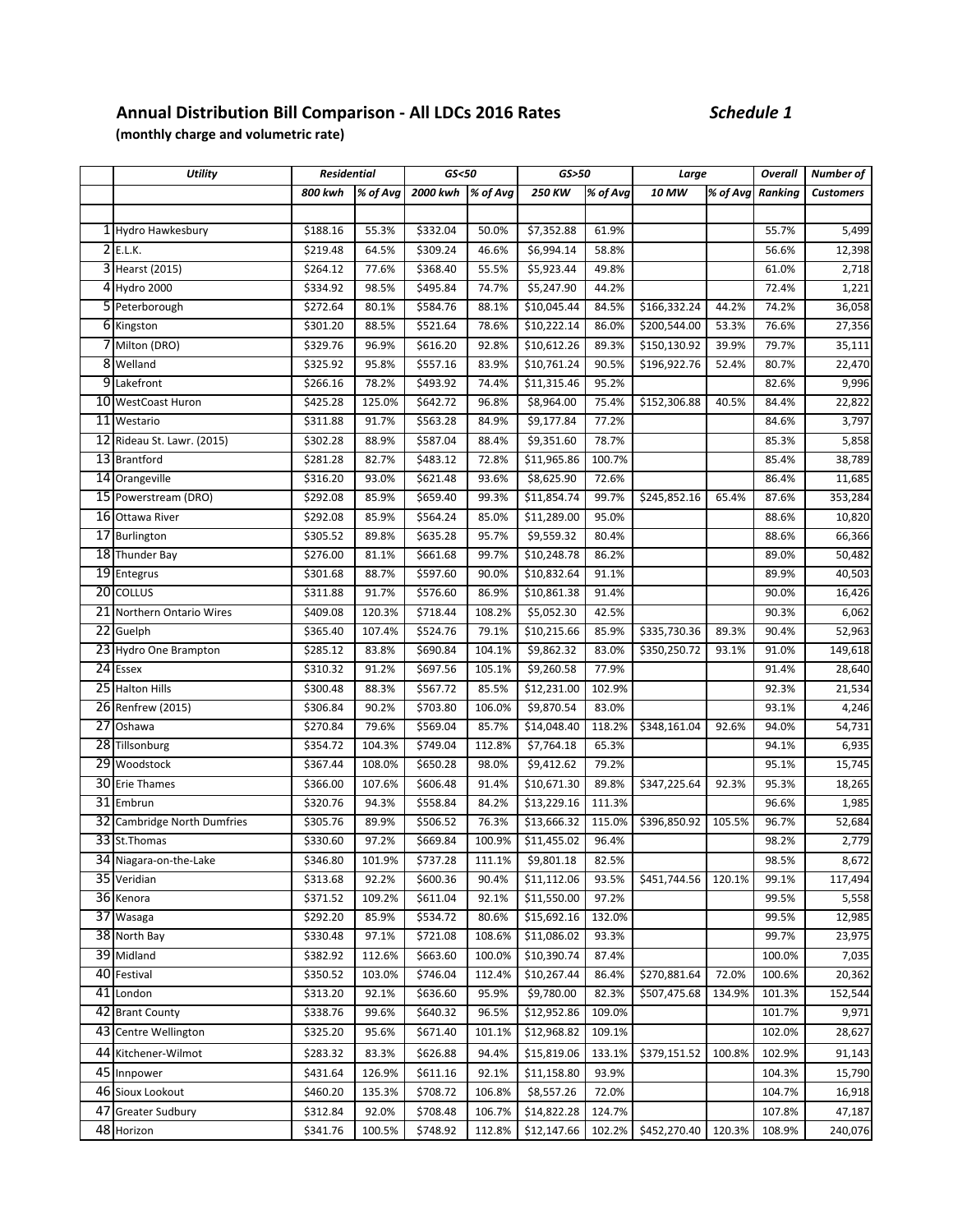## **Annual Distribution Bill Comparison ‐ All LDCs 2016 Rates** *Schedule 1*

**(monthly charge and volumetric rate)**

|                 | <b>Utility</b>              | <b>Residential</b> |          | GS < 50  |          | GS>50             |          | Large        |          | Overall | Number of        |
|-----------------|-----------------------------|--------------------|----------|----------|----------|-------------------|----------|--------------|----------|---------|------------------|
|                 |                             | 800 kwh            | % of Avg | 2000 kwh | % of Avg | $250$ KW          | % of Avg | 10 MW        | % of Avg | Ranking | <b>Customers</b> |
|                 |                             |                    |          |          |          |                   |          |              |          |         |                  |
|                 | 1 Hydro Hawkesbury          | \$188.16           | 55.3%    | \$332.04 | 50.0%    | \$7,352.88        | 61.9%    |              |          | 55.7%   | 5,499            |
|                 | 2E.L.K.                     | \$219.48           | 64.5%    | \$309.24 | 46.6%    | \$6,994.14        | 58.8%    |              |          | 56.6%   | 12,398           |
|                 | 3 Hearst (2015)             | \$264.12           | 77.6%    | \$368.40 | 55.5%    | \$5,923.44        | 49.8%    |              |          | 61.0%   | 2,718            |
|                 | 4 Hydro 2000                | \$334.92           | 98.5%    | \$495.84 | 74.7%    | \$5,247.90        | 44.2%    |              |          | 72.4%   | 1,221            |
|                 | 5 Peterborough              | \$272.64           | 80.1%    | \$584.76 | 88.1%    | \$10,045.44       | 84.5%    | \$166,332.24 | 44.2%    | 74.2%   | 36,058           |
|                 | 6 Kingston                  | \$301.20           | 88.5%    | \$521.64 | 78.6%    | \$10,222.14       | 86.0%    | \$200,544.00 | 53.3%    | 76.6%   | 27,356           |
|                 | 7 Milton (DRO)              | \$329.76           | 96.9%    | \$616.20 | 92.8%    | \$10,612.26       | 89.3%    | \$150,130.92 | 39.9%    | 79.7%   | 35,111           |
|                 | 8 Welland                   | \$325.92           | 95.8%    | \$557.16 | 83.9%    | \$10,761.24       | 90.5%    | \$196,922.76 | 52.4%    | 80.7%   | 22,470           |
|                 | 9 Lakefront                 | \$266.16           | 78.2%    | \$493.92 | 74.4%    | \$11,315.46       | 95.2%    |              |          | 82.6%   | 9,996            |
|                 | 10 WestCoast Huron          | \$425.28           | 125.0%   | \$642.72 | 96.8%    | \$8,964.00        | 75.4%    | \$152,306.88 | 40.5%    | 84.4%   | 22,822           |
|                 | 11 Westario                 | \$311.88           | 91.7%    | \$563.28 | 84.9%    | 59,177.84         | 77.2%    |              |          | 84.6%   | 3,797            |
|                 | 12 Rideau St. Lawr. (2015)  | \$302.28           | 88.9%    | \$587.04 | 88.4%    | \$9,351.60        | 78.7%    |              |          | 85.3%   | 5,858            |
|                 | 13 Brantford                | \$281.28           | 82.7%    | \$483.12 | 72.8%    | \$11,965.86       | 100.7%   |              |          | 85.4%   | 38,789           |
|                 | 14 Orangeville              | \$316.20           | 93.0%    | \$621.48 | 93.6%    | \$8,625.90        | 72.6%    |              |          | 86.4%   | 11,685           |
|                 | 15 Powerstream (DRO)        | \$292.08           | 85.9%    | \$659.40 | 99.3%    | \$11,854.74       | 99.7%    | \$245,852.16 | 65.4%    | 87.6%   | 353,284          |
|                 | 16 Ottawa River             | \$292.08           | 85.9%    | \$564.24 | 85.0%    | \$11,289.00       | 95.0%    |              |          | 88.6%   | 10,820           |
|                 | 17 Burlington               | \$305.52           | 89.8%    | \$635.28 | 95.7%    | \$9,559.32        | 80.4%    |              |          | 88.6%   | 66,366           |
|                 | 18 Thunder Bay              | \$276.00           | 81.1%    | \$661.68 | 99.7%    | \$10,248.78       | 86.2%    |              |          | 89.0%   | 50,482           |
|                 | 19 Entegrus                 | \$301.68           | 88.7%    | \$597.60 | 90.0%    | \$10,832.64       | 91.1%    |              |          | 89.9%   | 40,503           |
|                 | 20 COLLUS                   | \$311.88           | 91.7%    | \$576.60 | 86.9%    | \$10,861.38       | 91.4%    |              |          | 90.0%   | 16,426           |
|                 | 21 Northern Ontario Wires   | \$409.08           | 120.3%   | \$718.44 | 108.2%   | \$5,052.30        | 42.5%    |              |          | 90.3%   | 6,062            |
|                 | 22 Guelph                   | \$365.40           | 107.4%   | \$524.76 | 79.1%    | \$10,215.66       | 85.9%    | \$335,730.36 | 89.3%    | 90.4%   | 52,963           |
|                 | 23 Hydro One Brampton       | \$285.12           | 83.8%    | \$690.84 | 104.1%   | \$9,862.32        | 83.0%    | \$350,250.72 | 93.1%    | 91.0%   | 149,618          |
|                 | 24 Essex                    | \$310.32           | 91.2%    | \$697.56 | 105.1%   | \$9,260.58        | 77.9%    |              |          | 91.4%   | 28,640           |
|                 | 25 Halton Hills             | \$300.48           | 88.3%    | \$567.72 | 85.5%    | \$12,231.00       | 102.9%   |              |          | 92.3%   | 21,534           |
|                 | 26 Renfrew (2015)           | \$306.84           | 90.2%    | \$703.80 | 106.0%   | \$9,870.54        | 83.0%    |              |          | 93.1%   | 4,246            |
| $\overline{27}$ | Oshawa                      | \$270.84           | 79.6%    | \$569.04 | 85.7%    | \$14,048.40       | 118.2%   | \$348,161.04 | 92.6%    | 94.0%   | 54,731           |
|                 | 28 Tillsonburg              | \$354.72           | 104.3%   | \$749.04 | 112.8%   | \$7,764.18        | 65.3%    |              |          | 94.1%   | 6,935            |
|                 | 29 Woodstock                | \$367.44           | 108.0%   | \$650.28 | 98.0%    | \$9,412.62        | 79.2%    |              |          | 95.1%   | 15,745           |
|                 | 30 Erie Thames              | \$366.00           | 107.6%   | \$606.48 | 91.4%    | \$10,671.30       | 89.8%    | \$347,225.64 | 92.3%    | 95.3%   | 18,265           |
|                 | 31 Embrun                   | \$320.76           | 94.3%    | \$558.84 | 84.2%    | \$13,229.16       | 111.3%   |              |          | 96.6%   | 1,985            |
|                 | 32 Cambridge North Dumfries | \$305.76           | 89.9%    | \$506.52 | 76.3%    | \$13,666.32       | 115.0%   | \$396,850.92 | 105.5%   | 96.7%   | 52,684           |
|                 | 33 St. Thomas               | \$330.60           | 97.2%    | \$669.84 | 100.9%   | \$11,455.02       | 96.4%    |              |          | 98.2%   | 2,779            |
|                 | 34 Niagara-on-the-Lake      | \$346.80           | 101.9%   | \$737.28 |          | 111.1% \$9,801.18 | 82.5%    |              |          | 98.5%   | 8,672            |
|                 | 35 Veridian                 | \$313.68           | 92.2%    | \$600.36 | 90.4%    | \$11,112.06       | 93.5%    | \$451,744.56 | 120.1%   | 99.1%   | 117,494          |
|                 | 36 Kenora                   | \$371.52           | 109.2%   | \$611.04 | 92.1%    | \$11,550.00       | 97.2%    |              |          | 99.5%   | 5,558            |
|                 | $\overline{37}$ Wasaga      | \$292.20           | 85.9%    | \$534.72 | 80.6%    | \$15,692.16       | 132.0%   |              |          | 99.5%   | 12,985           |
|                 | 38 North Bay                | \$330.48           | 97.1%    | \$721.08 | 108.6%   | \$11,086.02       | 93.3%    |              |          | 99.7%   | 23,975           |
|                 | 39 Midland                  | \$382.92           | 112.6%   | \$663.60 | 100.0%   | \$10,390.74       | 87.4%    |              |          | 100.0%  | 7,035            |
|                 | 40 Festival                 | \$350.52           | 103.0%   | \$746.04 | 112.4%   | \$10,267.44       | 86.4%    | \$270,881.64 | 72.0%    | 100.6%  | 20,362           |
|                 | 41 London                   | \$313.20           | 92.1%    | \$636.60 | 95.9%    | \$9,780.00        | 82.3%    | \$507,475.68 | 134.9%   | 101.3%  | 152,544          |
|                 | 42 Brant County             | \$338.76           | 99.6%    | \$640.32 | 96.5%    | \$12,952.86       | 109.0%   |              |          | 101.7%  | 9,971            |
|                 | 43 Centre Wellington        | \$325.20           | 95.6%    | \$671.40 | 101.1%   | \$12,968.82       | 109.1%   |              |          | 102.0%  | 28,627           |
|                 | 44 Kitchener-Wilmot         | \$283.32           | 83.3%    | \$626.88 | 94.4%    | \$15,819.06       | 133.1%   | \$379,151.52 | 100.8%   | 102.9%  | 91,143           |
|                 | 45 Innpower                 | \$431.64           | 126.9%   | \$611.16 | 92.1%    | \$11,158.80       | 93.9%    |              |          | 104.3%  | 15,790           |
|                 | 46 Sioux Lookout            | \$460.20           | 135.3%   | \$708.72 | 106.8%   | \$8,557.26        | 72.0%    |              |          | 104.7%  | 16,918           |
|                 | 47 Greater Sudbury          | \$312.84           | 92.0%    | \$708.48 | 106.7%   | \$14,822.28       | 124.7%   |              |          | 107.8%  | 47,187           |
|                 | 48 Horizon                  | \$341.76           | 100.5%   | \$748.92 | 112.8%   | \$12,147.66       | 102.2%   | \$452,270.40 | 120.3%   | 108.9%  | 240,076          |